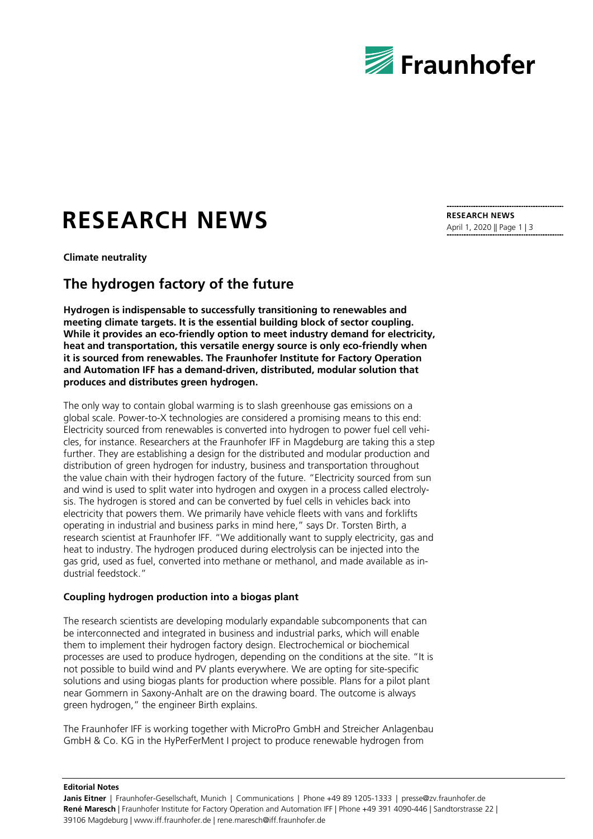

# **RESEARCH NEWS**

**Climate neutrality**

# **The hydrogen factory of the future**

**Hydrogen is indispensable to successfully transitioning to renewables and meeting climate targets. It is the essential building block of sector coupling. While it provides an eco-friendly option to meet industry demand for electricity, heat and transportation, this versatile energy source is only eco-friendly when it is sourced from renewables. The Fraunhofer Institute for Factory Operation and Automation IFF has a demand-driven, distributed, modular solution that produces and distributes green hydrogen.** 

The only way to contain global warming is to slash greenhouse gas emissions on a global scale. Power-to-X technologies are considered a promising means to this end: Electricity sourced from renewables is converted into hydrogen to power fuel cell vehicles, for instance. Researchers at the Fraunhofer IFF in Magdeburg are taking this a step further. They are establishing a design for the distributed and modular production and distribution of green hydrogen for industry, business and transportation throughout the value chain with their hydrogen factory of the future. "Electricity sourced from sun and wind is used to split water into hydrogen and oxygen in a process called electrolysis. The hydrogen is stored and can be converted by fuel cells in vehicles back into electricity that powers them. We primarily have vehicle fleets with vans and forklifts operating in industrial and business parks in mind here," says Dr. Torsten Birth, a research scientist at Fraunhofer IFF. "We additionally want to supply electricity, gas and heat to industry. The hydrogen produced during electrolysis can be injected into the gas grid, used as fuel, converted into methane or methanol, and made available as industrial feedstock."

# **Coupling hydrogen production into a biogas plant**

The research scientists are developing modularly expandable subcomponents that can be interconnected and integrated in business and industrial parks, which will enable them to implement their hydrogen factory design. Electrochemical or biochemical processes are used to produce hydrogen, depending on the conditions at the site. "It is not possible to build wind and PV plants everywhere. We are opting for site-specific solutions and using biogas plants for production where possible. Plans for a pilot plant near Gommern in Saxony-Anhalt are on the drawing board. The outcome is always green hydrogen," the engineer Birth explains.

The Fraunhofer IFF is working together with MicroPro GmbH and Streicher Anlagenbau GmbH & Co. KG in the HyPerFerMent I project to produce renewable hydrogen from

**RESEARCH NEWS** April 1, 2020 || Page 1 | 3

**Editorial Notes**

**Janis Eitner** | Fraunhofer-Gesellschaft, Munich | Communications | Phone +49 89 1205-1333 | presse@zv.fraunhofer.de **René Maresch** | Fraunhofer Institute for Factory Operation and Automation IFF | Phone +49 391 4090-446 | Sandtorstrasse 22 | 39106 Magdeburg | www.iff.fraunhofer.de | rene.maresch@iff.fraunhofer.de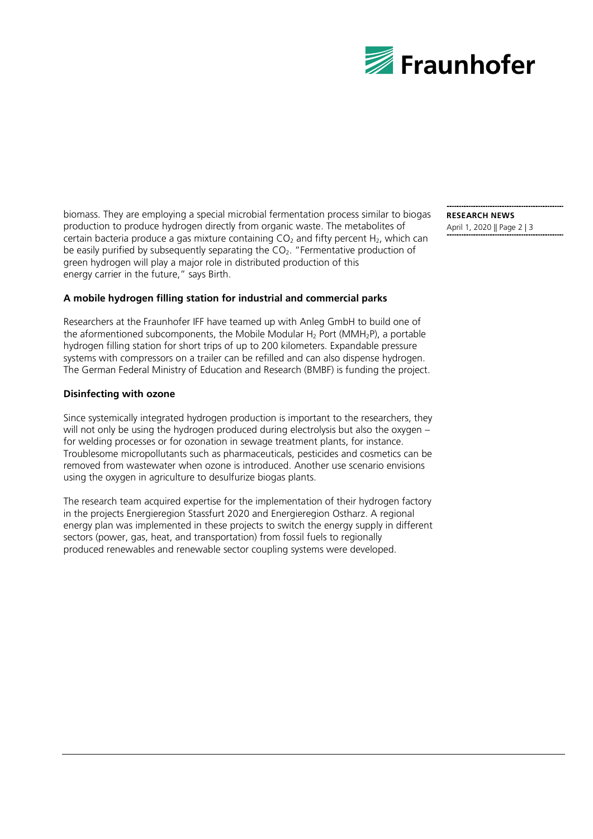

biomass. They are employing a special microbial fermentation process similar to biogas production to produce hydrogen directly from organic waste. The metabolites of certain bacteria produce a gas mixture containing  $CO<sub>2</sub>$  and fifty percent H<sub>2</sub>, which can be easily purified by subsequently separating the CO<sub>2</sub>. "Fermentative production of green hydrogen will play a major role in distributed production of this energy carrier in the future," says Birth.

## **A mobile hydrogen filling station for industrial and commercial parks**

Researchers at the Fraunhofer IFF have teamed up with Anleg GmbH to build one of the aformentioned subcomponents, the Mobile Modular H<sub>2</sub> Port (MMH<sub>2</sub>P), a portable hydrogen filling station for short trips of up to 200 kilometers. Expandable pressure systems with compressors on a trailer can be refilled and can also dispense hydrogen. The German Federal Ministry of Education and Research (BMBF) is funding the project.

### **Disinfecting with ozone**

Since systemically integrated hydrogen production is important to the researchers, they will not only be using the hydrogen produced during electrolysis but also the oxygen – for welding processes or for ozonation in sewage treatment plants, for instance. Troublesome micropollutants such as pharmaceuticals, pesticides and cosmetics can be removed from wastewater when ozone is introduced. Another use scenario envisions using the oxygen in agriculture to desulfurize biogas plants.

The research team acquired expertise for the implementation of their hydrogen factory in the projects Energieregion Stassfurt 2020 and Energieregion Ostharz. A regional energy plan was implemented in these projects to switch the energy supply in different sectors (power, gas, heat, and transportation) from fossil fuels to regionally produced renewables and renewable sector coupling systems were developed.

**RESEARCH NEWS** April 1, 2020 || Page 2 | 3